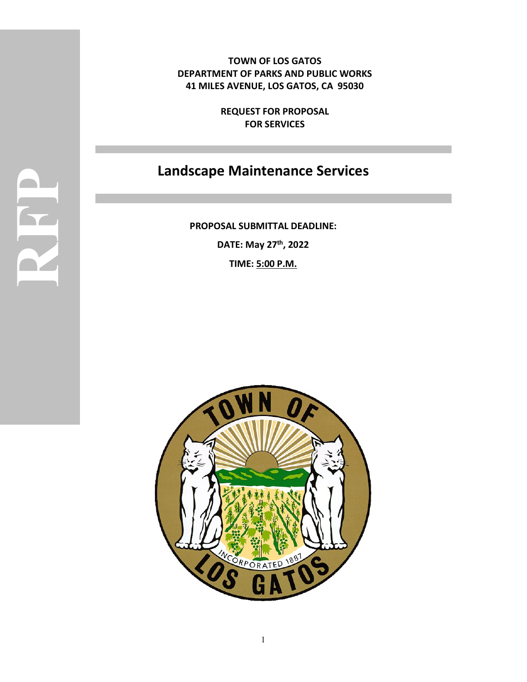**TOWN OF LOS GATOS DEPARTMENT OF PARKS AND PUBLIC WORKS 41 MILES AVENUE, LOS GATOS, CA 95030**

> **REQUEST FOR PROPOSAL FOR SERVICES**

# **Landscape Maintenance Services**

**PROPOSAL SUBMITTAL DEADLINE: DATE: May 27th, 2022 TIME: 5:00 P.M.**

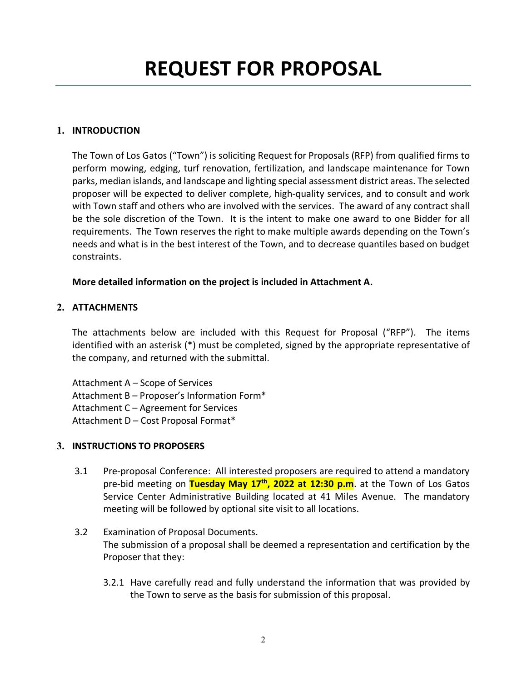# **1. INTRODUCTION**

The Town of Los Gatos ("Town") is soliciting Request for Proposals (RFP) from qualified firms to perform mowing, edging, turf renovation, fertilization, and landscape maintenance for Town parks, median islands, and landscape and lighting special assessment district areas. The selected proposer will be expected to deliver complete, high-quality services, and to consult and work with Town staff and others who are involved with the services. The award of any contract shall be the sole discretion of the Town. It is the intent to make one award to one Bidder for all requirements. The Town reserves the right to make multiple awards depending on the Town's needs and what is in the best interest of the Town, and to decrease quantiles based on budget constraints.

### **More detailed information on the project is included in Attachment A.**

# **2. ATTACHMENTS**

The attachments below are included with this Request for Proposal ("RFP"). The items identified with an asterisk (\*) must be completed, signed by the appropriate representative of the company, and returned with the submittal.

Attachment A – Scope of Services Attachment B – Proposer's Information Form\* Attachment C – Agreement for Services Attachment D – Cost Proposal Format\*

### **3. INSTRUCTIONS TO PROPOSERS**

- 3.1 Pre-proposal Conference: All interested proposers are required to attend a mandatory pre-bid meeting on **Tuesday May 17th, 2022 at 12:30 p.m**. at the Town of Los Gatos Service Center Administrative Building located at 41 Miles Avenue. The mandatory meeting will be followed by optional site visit to all locations.
- 3.2 Examination of Proposal Documents. The submission of a proposal shall be deemed a representation and certification by the Proposer that they:
	- 3.2.1 Have carefully read and fully understand the information that was provided by the Town to serve as the basis for submission of this proposal.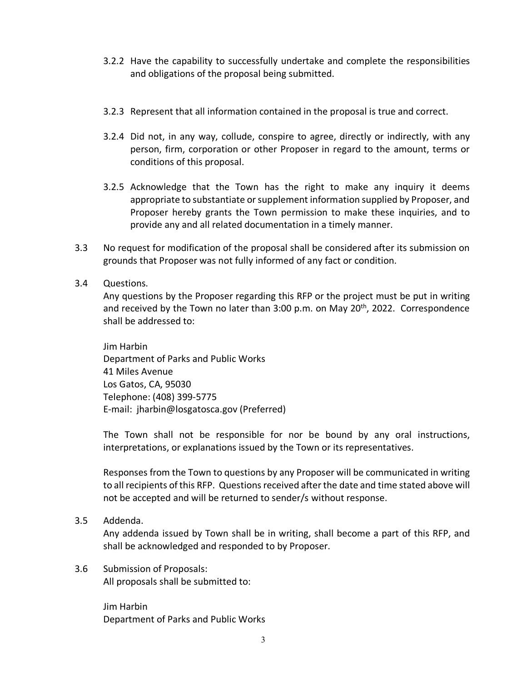- 3.2.2 Have the capability to successfully undertake and complete the responsibilities and obligations of the proposal being submitted.
- 3.2.3 Represent that all information contained in the proposal is true and correct.
- 3.2.4 Did not, in any way, collude, conspire to agree, directly or indirectly, with any person, firm, corporation or other Proposer in regard to the amount, terms or conditions of this proposal.
- 3.2.5 Acknowledge that the Town has the right to make any inquiry it deems appropriate to substantiate or supplement information supplied by Proposer, and Proposer hereby grants the Town permission to make these inquiries, and to provide any and all related documentation in a timely manner.
- 3.3 No request for modification of the proposal shall be considered after its submission on grounds that Proposer was not fully informed of any fact or condition.
- 3.4 Questions.

Any questions by the Proposer regarding this RFP or the project must be put in writing and received by the Town no later than  $3:00$  p.m. on May  $20<sup>th</sup>$ , 2022. Correspondence shall be addressed to:

Jim Harbin Department of Parks and Public Works 41 Miles Avenue Los Gatos, CA, 95030 Telephone: (408) 399-5775 E-mail: jharbin@losgatosca.gov (Preferred)

The Town shall not be responsible for nor be bound by any oral instructions, interpretations, or explanations issued by the Town or its representatives.

Responses from the Town to questions by any Proposer will be communicated in writing to all recipients of this RFP. Questions received after the date and time stated above will not be accepted and will be returned to sender/s without response.

3.5 Addenda.

Any addenda issued by Town shall be in writing, shall become a part of this RFP, and shall be acknowledged and responded to by Proposer.

3.6 Submission of Proposals: All proposals shall be submitted to:

> Jim Harbin Department of Parks and Public Works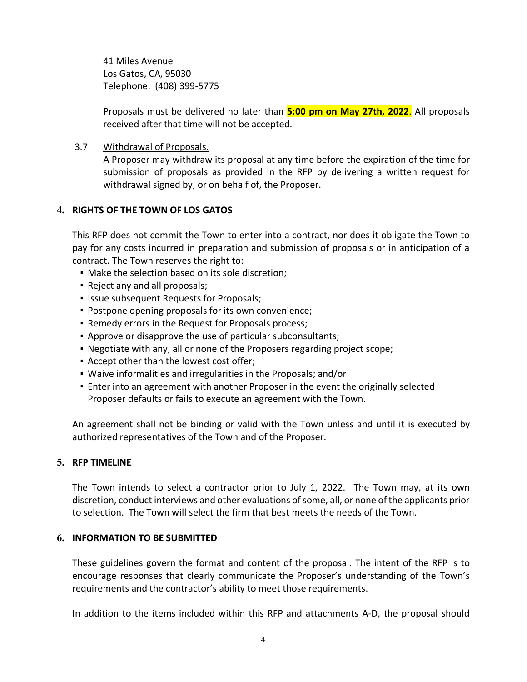41 Miles Avenue Los Gatos, CA, 95030 Telephone: (408) 399-5775

Proposals must be delivered no later than **5:00 pm on May 27th, 2022**. All proposals received after that time will not be accepted.

3.7 Withdrawal of Proposals.

A Proposer may withdraw its proposal at any time before the expiration of the time for submission of proposals as provided in the RFP by delivering a written request for withdrawal signed by, or on behalf of, the Proposer.

### **4. RIGHTS OF THE TOWN OF LOS GATOS**

This RFP does not commit the Town to enter into a contract, nor does it obligate the Town to pay for any costs incurred in preparation and submission of proposals or in anticipation of a contract. The Town reserves the right to:

- **Make the selection based on its sole discretion;**
- Reject any and all proposals;
- **.** Issue subsequent Requests for Proposals;
- Postpone opening proposals for its own convenience;
- Remedy errors in the Request for Proposals process;
- Approve or disapprove the use of particular subconsultants;
- Negotiate with any, all or none of the Proposers regarding project scope;
- Accept other than the lowest cost offer;
- Waive informalities and irregularities in the Proposals; and/or
- **Enter into an agreement with another Proposer in the event the originally selected** Proposer defaults or fails to execute an agreement with the Town.

An agreement shall not be binding or valid with the Town unless and until it is executed by authorized representatives of the Town and of the Proposer.

### **5. RFP TIMELINE**

The Town intends to select a contractor prior to July 1, 2022. The Town may, at its own discretion, conduct interviews and other evaluations of some, all, or none of the applicants prior to selection. The Town will select the firm that best meets the needs of the Town.

# **6. INFORMATION TO BE SUBMITTED**

These guidelines govern the format and content of the proposal. The intent of the RFP is to encourage responses that clearly communicate the Proposer's understanding of the Town's requirements and the contractor's ability to meet those requirements.

In addition to the items included within this RFP and attachments A-D, the proposal should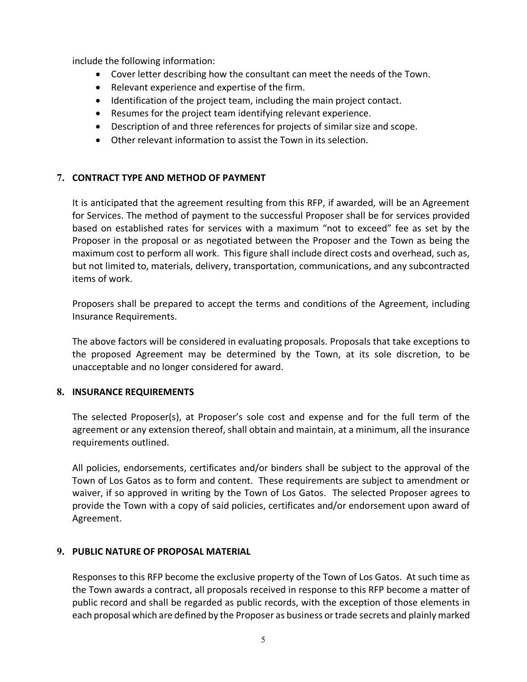include the following information:

- Cover letter describing how the consultant can meet the needs of the Town.
- Relevant experience and expertise of the firm.
- Identification of the project team, including the main project contact.
- Resumes for the project team identifying relevant experience.
- Description of and three references for projects of similar size and scope.
- Other relevant information to assist the Town in its selection.

### **7. CONTRACT TYPE AND METHOD OF PAYMENT**

It is anticipated that the agreement resulting from this RFP, if awarded, will be an Agreement for Services. The method of payment to the successful Proposer shall be for services provided based on established rates for services with a maximum "not to exceed" fee as set by the Proposer in the proposal or as negotiated between the Proposer and the Town as being the maximum cost to perform all work. This figure shall include direct costs and overhead, such as, but not limited to, materials, delivery, transportation, communications, and any subcontracted items of work.

Proposers shall be prepared to accept the terms and conditions of the Agreement, including Insurance Requirements.

The above factors will be considered in evaluating proposals. Proposals that take exceptions to the proposed Agreement may be determined by the Town, at its sole discretion, to be unacceptable and no longer considered for award.

### **8. INSURANCE REQUIREMENTS**

The selected Proposer(s), at Proposer's sole cost and expense and for the full term of the agreement or any extension thereof, shall obtain and maintain, at a minimum, all the insurance requirements outlined.

All policies, endorsements, certificates and/or binders shall be subject to the approval of the Town of Los Gatos as to form and content. These requirements are subject to amendment or waiver, if so approved in writing by the Town of Los Gatos. The selected Proposer agrees to provide the Town with a copy of said policies, certificates and/or endorsement upon award of Agreement.

### **9. PUBLIC NATURE OF PROPOSAL MATERIAL**

Responses to this RFP become the exclusive property of the Town of Los Gatos. At such time as the Town awards a contract, all proposals received in response to this RFP become a matter of public record and shall be regarded as public records, with the exception of those elements in each proposal which are defined by the Proposer as business or trade secrets and plainly marked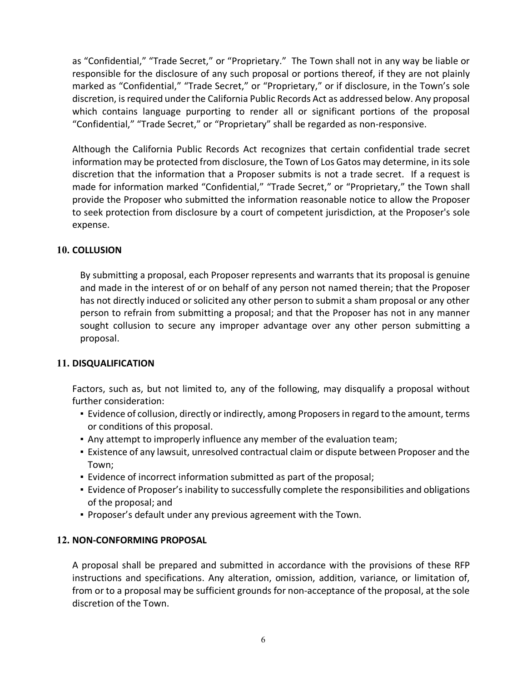as "Confidential," "Trade Secret," or "Proprietary." The Town shall not in any way be liable or responsible for the disclosure of any such proposal or portions thereof, if they are not plainly marked as "Confidential," "Trade Secret," or "Proprietary," or if disclosure, in the Town's sole discretion, is required under the California Public Records Act as addressed below. Any proposal which contains language purporting to render all or significant portions of the proposal "Confidential," "Trade Secret," or "Proprietary" shall be regarded as non-responsive.

Although the California Public Records Act recognizes that certain confidential trade secret information may be protected from disclosure, the Town of Los Gatos may determine, in its sole discretion that the information that a Proposer submits is not a trade secret. If a request is made for information marked "Confidential," "Trade Secret," or "Proprietary," the Town shall provide the Proposer who submitted the information reasonable notice to allow the Proposer to seek protection from disclosure by a court of competent jurisdiction, at the Proposer's sole expense.

#### **10. COLLUSION**

By submitting a proposal, each Proposer represents and warrants that its proposal is genuine and made in the interest of or on behalf of any person not named therein; that the Proposer has not directly induced or solicited any other person to submit a sham proposal or any other person to refrain from submitting a proposal; and that the Proposer has not in any manner sought collusion to secure any improper advantage over any other person submitting a proposal.

#### **11. DISQUALIFICATION**

Factors, such as, but not limited to, any of the following, may disqualify a proposal without further consideration:

- **Example 2** Evidence of collusion, directly or indirectly, among Proposers in regard to the amount, terms or conditions of this proposal.
- . Any attempt to improperly influence any member of the evaluation team;
- Existence of any lawsuit, unresolved contractual claim or dispute between Proposer and the Town;
- Evidence of incorrect information submitted as part of the proposal;
- **Evidence of Proposer's inability to successfully complete the responsibilities and obligations** of the proposal; and
- Proposer's default under any previous agreement with the Town.

#### **12. NON-CONFORMING PROPOSAL**

A proposal shall be prepared and submitted in accordance with the provisions of these RFP instructions and specifications. Any alteration, omission, addition, variance, or limitation of, from or to a proposal may be sufficient grounds for non-acceptance of the proposal, at the sole discretion of the Town.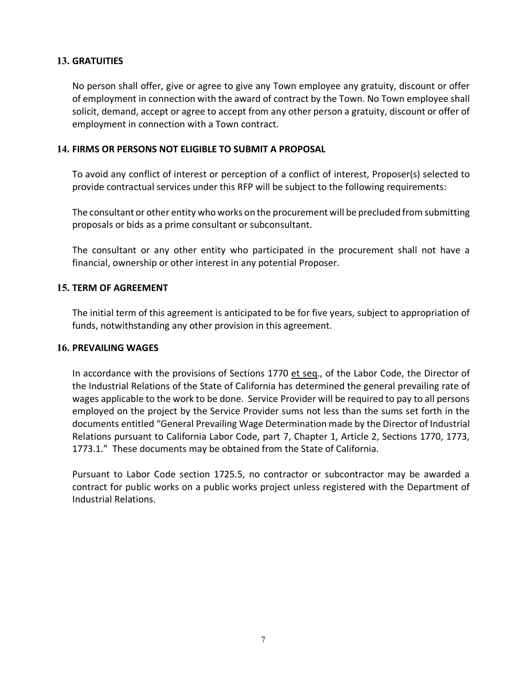#### **13. GRATUITIES**

No person shall offer, give or agree to give any Town employee any gratuity, discount or offer of employment in connection with the award of contract by the Town. No Town employee shall solicit, demand, accept or agree to accept from any other person a gratuity, discount or offer of employment in connection with a Town contract.

#### **14. FIRMS OR PERSONS NOT ELIGIBLE TO SUBMIT A PROPOSAL**

To avoid any conflict of interest or perception of a conflict of interest, Proposer(s) selected to provide contractual services under this RFP will be subject to the following requirements:

The consultant or other entity who works on the procurement will be precluded from submitting proposals or bids as a prime consultant or subconsultant.

The consultant or any other entity who participated in the procurement shall not have a financial, ownership or other interest in any potential Proposer.

#### **15. TERM OF AGREEMENT**

The initial term of this agreement is anticipated to be for five years, subject to appropriation of funds, notwithstanding any other provision in this agreement.

#### **16. PREVAILING WAGES**

In accordance with the provisions of Sections 1770 et seq., of the Labor Code, the Director of the Industrial Relations of the State of California has determined the general prevailing rate of wages applicable to the work to be done. Service Provider will be required to pay to all persons employed on the project by the Service Provider sums not less than the sums set forth in the documents entitled "General Prevailing Wage Determination made by the Director of Industrial Relations pursuant to California Labor Code, part 7, Chapter 1, Article 2, Sections 1770, 1773, 1773.1." These documents may be obtained from the State of California.

Pursuant to Labor Code section 1725.5, no contractor or subcontractor may be awarded a contract for public works on a public works project unless registered with the Department of Industrial Relations.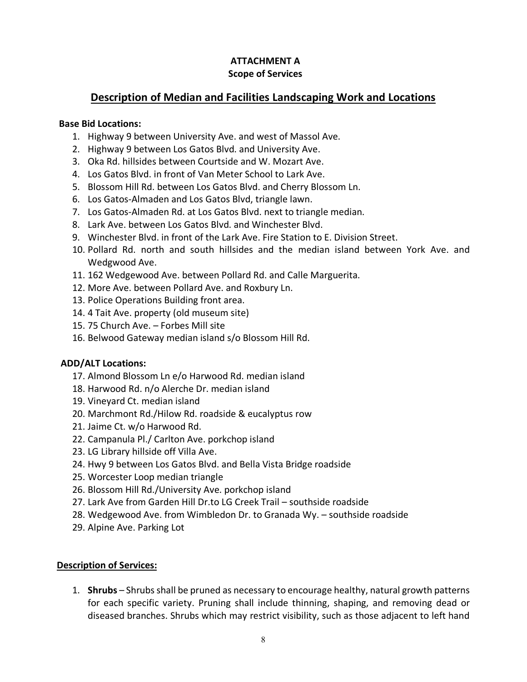### **ATTACHMENT A Scope of Services**

# **Description of Median and Facilities Landscaping Work and Locations**

#### **Base Bid Locations:**

- 1. Highway 9 between University Ave. and west of Massol Ave.
- 2. Highway 9 between Los Gatos Blvd. and University Ave.
- 3. Oka Rd. hillsides between Courtside and W. Mozart Ave.
- 4. Los Gatos Blvd. in front of Van Meter School to Lark Ave.
- 5. Blossom Hill Rd. between Los Gatos Blvd. and Cherry Blossom Ln.
- 6. Los Gatos-Almaden and Los Gatos Blvd, triangle lawn.
- 7. Los Gatos-Almaden Rd. at Los Gatos Blvd. next to triangle median.
- 8. Lark Ave. between Los Gatos Blvd. and Winchester Blvd.
- 9. Winchester Blvd. in front of the Lark Ave. Fire Station to E. Division Street.
- 10. Pollard Rd. north and south hillsides and the median island between York Ave. and Wedgwood Ave.
- 11. 162 Wedgewood Ave. between Pollard Rd. and Calle Marguerita.
- 12. More Ave. between Pollard Ave. and Roxbury Ln.
- 13. Police Operations Building front area.
- 14. 4 Tait Ave. property (old museum site)
- 15. 75 Church Ave. Forbes Mill site
- 16. Belwood Gateway median island s/o Blossom Hill Rd.

#### **ADD/ALT Locations:**

- 17. Almond Blossom Ln e/o Harwood Rd. median island
- 18. Harwood Rd. n/o Alerche Dr. median island
- 19. Vineyard Ct. median island
- 20. Marchmont Rd./Hilow Rd. roadside & eucalyptus row
- 21. Jaime Ct. w/o Harwood Rd.
- 22. Campanula Pl./ Carlton Ave. porkchop island
- 23. LG Library hillside off Villa Ave.
- 24. Hwy 9 between Los Gatos Blvd. and Bella Vista Bridge roadside
- 25. Worcester Loop median triangle
- 26. Blossom Hill Rd./University Ave. porkchop island
- 27. Lark Ave from Garden Hill Dr.to LG Creek Trail southside roadside
- 28. Wedgewood Ave. from Wimbledon Dr. to Granada Wy. southside roadside
- 29. Alpine Ave. Parking Lot

#### **Description of Services:**

1. **Shrubs** – Shrubs shall be pruned as necessary to encourage healthy, natural growth patterns for each specific variety. Pruning shall include thinning, shaping, and removing dead or diseased branches. Shrubs which may restrict visibility, such as those adjacent to left hand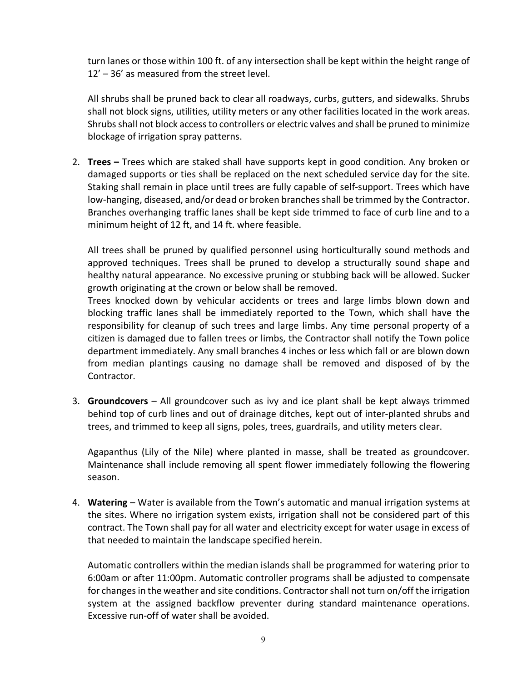turn lanes or those within 100 ft. of any intersection shall be kept within the height range of 12' – 36' as measured from the street level.

All shrubs shall be pruned back to clear all roadways, curbs, gutters, and sidewalks. Shrubs shall not block signs, utilities, utility meters or any other facilities located in the work areas. Shrubs shall not block access to controllers or electric valves and shall be pruned to minimize blockage of irrigation spray patterns.

2. **Trees –** Trees which are staked shall have supports kept in good condition. Any broken or damaged supports or ties shall be replaced on the next scheduled service day for the site. Staking shall remain in place until trees are fully capable of self-support. Trees which have low-hanging, diseased, and/or dead or broken branches shall be trimmed by the Contractor. Branches overhanging traffic lanes shall be kept side trimmed to face of curb line and to a minimum height of 12 ft, and 14 ft. where feasible.

All trees shall be pruned by qualified personnel using horticulturally sound methods and approved techniques. Trees shall be pruned to develop a structurally sound shape and healthy natural appearance. No excessive pruning or stubbing back will be allowed. Sucker growth originating at the crown or below shall be removed.

Trees knocked down by vehicular accidents or trees and large limbs blown down and blocking traffic lanes shall be immediately reported to the Town, which shall have the responsibility for cleanup of such trees and large limbs. Any time personal property of a citizen is damaged due to fallen trees or limbs, the Contractor shall notify the Town police department immediately. Any small branches 4 inches or less which fall or are blown down from median plantings causing no damage shall be removed and disposed of by the Contractor.

3. **Groundcovers** – All groundcover such as ivy and ice plant shall be kept always trimmed behind top of curb lines and out of drainage ditches, kept out of inter-planted shrubs and trees, and trimmed to keep all signs, poles, trees, guardrails, and utility meters clear.

Agapanthus (Lily of the Nile) where planted in masse, shall be treated as groundcover. Maintenance shall include removing all spent flower immediately following the flowering season.

4. **Watering** – Water is available from the Town's automatic and manual irrigation systems at the sites. Where no irrigation system exists, irrigation shall not be considered part of this contract. The Town shall pay for all water and electricity except for water usage in excess of that needed to maintain the landscape specified herein.

Automatic controllers within the median islands shall be programmed for watering prior to 6:00am or after 11:00pm. Automatic controller programs shall be adjusted to compensate for changes in the weather and site conditions. Contractor shall not turn on/off the irrigation system at the assigned backflow preventer during standard maintenance operations. Excessive run-off of water shall be avoided.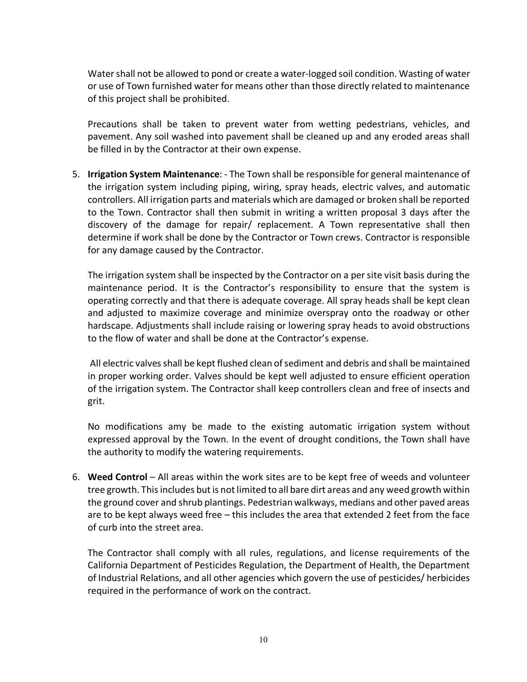Water shall not be allowed to pond or create a water-logged soil condition. Wasting of water or use of Town furnished water for means other than those directly related to maintenance of this project shall be prohibited.

Precautions shall be taken to prevent water from wetting pedestrians, vehicles, and pavement. Any soil washed into pavement shall be cleaned up and any eroded areas shall be filled in by the Contractor at their own expense.

5. **Irrigation System Maintenance**: - The Town shall be responsible for general maintenance of the irrigation system including piping, wiring, spray heads, electric valves, and automatic controllers. All irrigation parts and materials which are damaged or broken shall be reported to the Town. Contractor shall then submit in writing a written proposal 3 days after the discovery of the damage for repair/ replacement. A Town representative shall then determine if work shall be done by the Contractor or Town crews. Contractor is responsible for any damage caused by the Contractor.

The irrigation system shall be inspected by the Contractor on a per site visit basis during the maintenance period. It is the Contractor's responsibility to ensure that the system is operating correctly and that there is adequate coverage. All spray heads shall be kept clean and adjusted to maximize coverage and minimize overspray onto the roadway or other hardscape. Adjustments shall include raising or lowering spray heads to avoid obstructions to the flow of water and shall be done at the Contractor's expense.

All electric valves shall be kept flushed clean of sediment and debris and shall be maintained in proper working order. Valves should be kept well adjusted to ensure efficient operation of the irrigation system. The Contractor shall keep controllers clean and free of insects and grit.

No modifications amy be made to the existing automatic irrigation system without expressed approval by the Town. In the event of drought conditions, the Town shall have the authority to modify the watering requirements.

6. **Weed Control** – All areas within the work sites are to be kept free of weeds and volunteer tree growth. This includes but is not limited to all bare dirt areas and any weed growth within the ground cover and shrub plantings. Pedestrian walkways, medians and other paved areas are to be kept always weed free – this includes the area that extended 2 feet from the face of curb into the street area.

The Contractor shall comply with all rules, regulations, and license requirements of the California Department of Pesticides Regulation, the Department of Health, the Department of Industrial Relations, and all other agencies which govern the use of pesticides/ herbicides required in the performance of work on the contract.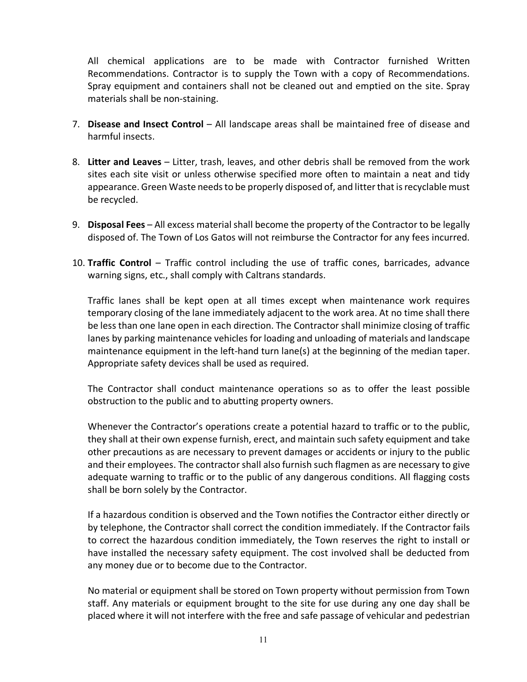All chemical applications are to be made with Contractor furnished Written Recommendations. Contractor is to supply the Town with a copy of Recommendations. Spray equipment and containers shall not be cleaned out and emptied on the site. Spray materials shall be non-staining.

- 7. **Disease and Insect Control** All landscape areas shall be maintained free of disease and harmful insects.
- 8. **Litter and Leaves** Litter, trash, leaves, and other debris shall be removed from the work sites each site visit or unless otherwise specified more often to maintain a neat and tidy appearance. Green Waste needs to be properly disposed of, and litter that is recyclable must be recycled.
- 9. **Disposal Fees**  All excess material shall become the property of the Contractor to be legally disposed of. The Town of Los Gatos will not reimburse the Contractor for any fees incurred.
- 10. **Traffic Control**  Traffic control including the use of traffic cones, barricades, advance warning signs, etc., shall comply with Caltrans standards.

Traffic lanes shall be kept open at all times except when maintenance work requires temporary closing of the lane immediately adjacent to the work area. At no time shall there be less than one lane open in each direction. The Contractor shall minimize closing of traffic lanes by parking maintenance vehicles for loading and unloading of materials and landscape maintenance equipment in the left-hand turn lane(s) at the beginning of the median taper. Appropriate safety devices shall be used as required.

The Contractor shall conduct maintenance operations so as to offer the least possible obstruction to the public and to abutting property owners.

Whenever the Contractor's operations create a potential hazard to traffic or to the public, they shall at their own expense furnish, erect, and maintain such safety equipment and take other precautions as are necessary to prevent damages or accidents or injury to the public and their employees. The contractor shall also furnish such flagmen as are necessary to give adequate warning to traffic or to the public of any dangerous conditions. All flagging costs shall be born solely by the Contractor.

If a hazardous condition is observed and the Town notifies the Contractor either directly or by telephone, the Contractor shall correct the condition immediately. If the Contractor fails to correct the hazardous condition immediately, the Town reserves the right to install or have installed the necessary safety equipment. The cost involved shall be deducted from any money due or to become due to the Contractor.

No material or equipment shall be stored on Town property without permission from Town staff. Any materials or equipment brought to the site for use during any one day shall be placed where it will not interfere with the free and safe passage of vehicular and pedestrian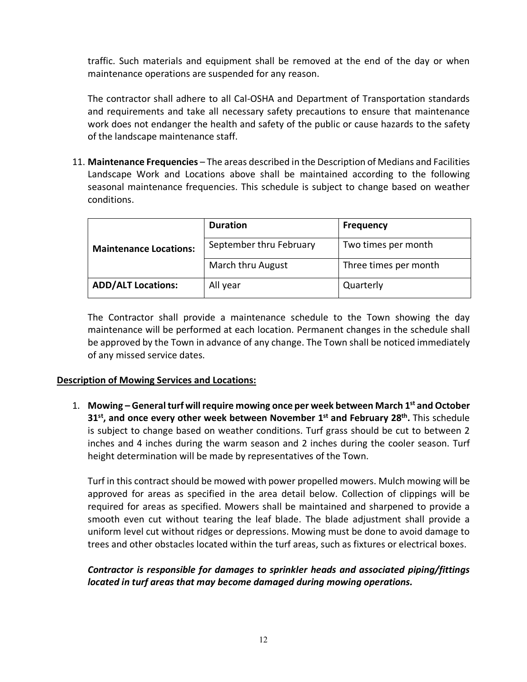traffic. Such materials and equipment shall be removed at the end of the day or when maintenance operations are suspended for any reason.

The contractor shall adhere to all Cal-OSHA and Department of Transportation standards and requirements and take all necessary safety precautions to ensure that maintenance work does not endanger the health and safety of the public or cause hazards to the safety of the landscape maintenance staff.

11. **Maintenance Frequencies** – The areas described in the Description of Medians and Facilities Landscape Work and Locations above shall be maintained according to the following seasonal maintenance frequencies. This schedule is subject to change based on weather conditions.

|                               | <b>Duration</b>         | <b>Frequency</b>      |  |
|-------------------------------|-------------------------|-----------------------|--|
| <b>Maintenance Locations:</b> | September thru February | Two times per month   |  |
|                               | March thru August       | Three times per month |  |
| <b>ADD/ALT Locations:</b>     | All year                | Quarterly             |  |

The Contractor shall provide a maintenance schedule to the Town showing the day maintenance will be performed at each location. Permanent changes in the schedule shall be approved by the Town in advance of any change. The Town shall be noticed immediately of any missed service dates.

### **Description of Mowing Services and Locations:**

1. **Mowing – General turf will require mowing once per week between March 1st and October 31st, and once every other week between November 1st and February 28th.** This schedule is subject to change based on weather conditions. Turf grass should be cut to between 2 inches and 4 inches during the warm season and 2 inches during the cooler season. Turf height determination will be made by representatives of the Town.

Turf in this contract should be mowed with power propelled mowers. Mulch mowing will be approved for areas as specified in the area detail below. Collection of clippings will be required for areas as specified. Mowers shall be maintained and sharpened to provide a smooth even cut without tearing the leaf blade. The blade adjustment shall provide a uniform level cut without ridges or depressions. Mowing must be done to avoid damage to trees and other obstacles located within the turf areas, such as fixtures or electrical boxes.

### *Contractor is responsible for damages to sprinkler heads and associated piping/fittings located in turf areas that may become damaged during mowing operations.*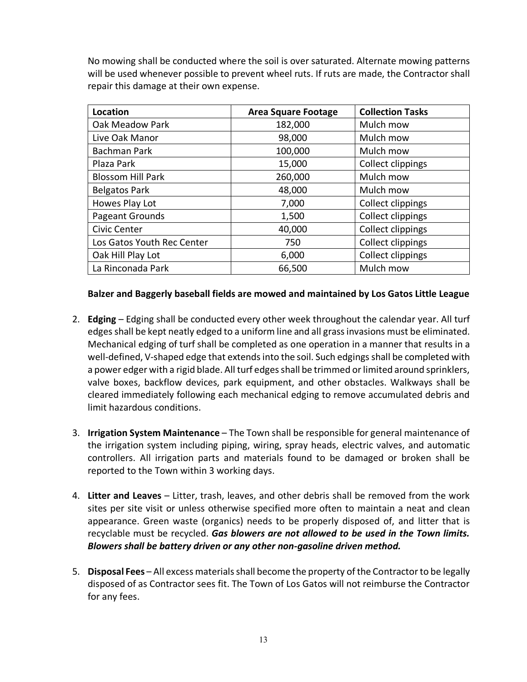No mowing shall be conducted where the soil is over saturated. Alternate mowing patterns will be used whenever possible to prevent wheel ruts. If ruts are made, the Contractor shall repair this damage at their own expense.

| Location                   | <b>Area Square Footage</b> | <b>Collection Tasks</b> |
|----------------------------|----------------------------|-------------------------|
| Oak Meadow Park            | 182,000                    | Mulch mow               |
| Live Oak Manor             | 98,000                     | Mulch mow               |
| Bachman Park               | 100,000                    | Mulch mow               |
| Plaza Park                 | 15,000                     | Collect clippings       |
| <b>Blossom Hill Park</b>   | 260,000                    | Mulch mow               |
| <b>Belgatos Park</b>       | 48,000                     | Mulch mow               |
| Howes Play Lot             | 7,000                      | Collect clippings       |
| Pageant Grounds            | 1,500                      | Collect clippings       |
| Civic Center               | 40,000                     | Collect clippings       |
| Los Gatos Youth Rec Center | 750                        | Collect clippings       |
| Oak Hill Play Lot          | 6,000                      | Collect clippings       |
| La Rinconada Park          | 66,500                     | Mulch mow               |

#### **Balzer and Baggerly baseball fields are mowed and maintained by Los Gatos Little League**

- 2. **Edging** Edging shall be conducted every other week throughout the calendar year. All turf edges shall be kept neatly edged to a uniform line and all grass invasions must be eliminated. Mechanical edging of turf shall be completed as one operation in a manner that results in a well-defined, V-shaped edge that extends into the soil. Such edgings shall be completed with a power edger with a rigid blade. All turf edges shall be trimmed or limited around sprinklers, valve boxes, backflow devices, park equipment, and other obstacles. Walkways shall be cleared immediately following each mechanical edging to remove accumulated debris and limit hazardous conditions.
- 3. **Irrigation System Maintenance**  The Town shall be responsible for general maintenance of the irrigation system including piping, wiring, spray heads, electric valves, and automatic controllers. All irrigation parts and materials found to be damaged or broken shall be reported to the Town within 3 working days.
- 4. **Litter and Leaves** Litter, trash, leaves, and other debris shall be removed from the work sites per site visit or unless otherwise specified more often to maintain a neat and clean appearance. Green waste (organics) needs to be properly disposed of, and litter that is recyclable must be recycled. *Gas blowers are not allowed to be used in the Town limits. Blowers shall be battery driven or any other non-gasoline driven method.*
- 5. **Disposal Fees** All excess materials shall become the property of the Contractor to be legally disposed of as Contractor sees fit. The Town of Los Gatos will not reimburse the Contractor for any fees.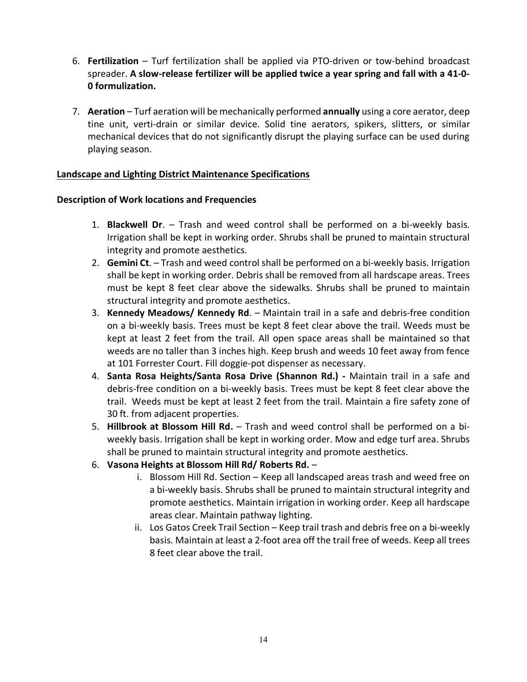- 6. **Fertilization** Turf fertilization shall be applied via PTO-driven or tow-behind broadcast spreader. **A slow-release fertilizer will be applied twice a year spring and fall with a 41-0- 0 formulization.**
- 7. **Aeration** Turf aeration will be mechanically performed **annually** using a core aerator, deep tine unit, verti-drain or similar device. Solid tine aerators, spikers, slitters, or similar mechanical devices that do not significantly disrupt the playing surface can be used during playing season.

#### **Landscape and Lighting District Maintenance Specifications**

#### **Description of Work locations and Frequencies**

- 1. **Blackwell Dr**. Trash and weed control shall be performed on a bi-weekly basis. Irrigation shall be kept in working order. Shrubs shall be pruned to maintain structural integrity and promote aesthetics.
- 2. **Gemini Ct**. Trash and weed control shall be performed on a bi-weekly basis. Irrigation shall be kept in working order. Debris shall be removed from all hardscape areas. Trees must be kept 8 feet clear above the sidewalks. Shrubs shall be pruned to maintain structural integrity and promote aesthetics.
- 3. **Kennedy Meadows/ Kennedy Rd**. Maintain trail in a safe and debris-free condition on a bi-weekly basis. Trees must be kept 8 feet clear above the trail. Weeds must be kept at least 2 feet from the trail. All open space areas shall be maintained so that weeds are no taller than 3 inches high. Keep brush and weeds 10 feet away from fence at 101 Forrester Court. Fill doggie-pot dispenser as necessary.
- 4. **Santa Rosa Heights/Santa Rosa Drive (Shannon Rd.)** Maintain trail in a safe and debris-free condition on a bi-weekly basis. Trees must be kept 8 feet clear above the trail. Weeds must be kept at least 2 feet from the trail. Maintain a fire safety zone of 30 ft. from adjacent properties.
- 5. **Hillbrook at Blossom Hill Rd.** Trash and weed control shall be performed on a biweekly basis. Irrigation shall be kept in working order. Mow and edge turf area. Shrubs shall be pruned to maintain structural integrity and promote aesthetics.
- 6. **Vasona Heights at Blossom Hill Rd/ Roberts Rd.**
	- i. Blossom Hill Rd. Section Keep all landscaped areas trash and weed free on a bi-weekly basis. Shrubs shall be pruned to maintain structural integrity and promote aesthetics. Maintain irrigation in working order. Keep all hardscape areas clear. Maintain pathway lighting.
	- ii. Los Gatos Creek Trail Section Keep trail trash and debris free on a bi-weekly basis. Maintain at least a 2-foot area off the trail free of weeds. Keep all trees 8 feet clear above the trail.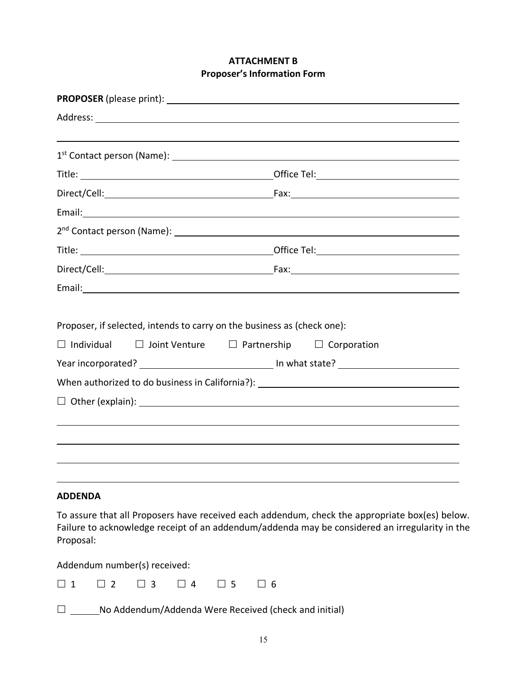### **ATTACHMENT B Proposer's Information Form**

|                                                                                              | Email: <u>Alexander Alexander Alexander Alexander Alexander Alexander Alexander Alexander Alexander Alexander Alexander Alexander Alexander Alexander Alexander Alexander Alexander Alexander Alexander Alexander Alexander Alex</u> |
|----------------------------------------------------------------------------------------------|--------------------------------------------------------------------------------------------------------------------------------------------------------------------------------------------------------------------------------------|
| Proposer, if selected, intends to carry on the business as (check one):<br>$\Box$ Individual | $\Box$ Joint Venture $\Box$ Partnership $\Box$ Corporation<br>When authorized to do business in California?): ________________________________                                                                                       |
|                                                                                              |                                                                                                                                                                                                                                      |
|                                                                                              |                                                                                                                                                                                                                                      |
| <b>ADDENDA</b>                                                                               |                                                                                                                                                                                                                                      |
| Proposal:                                                                                    | To assure that all Proposers have received each addendum, check the appropriate box(es) below.<br>Failure to acknowledge receipt of an addendum/addenda may be considered an irregularity in the                                     |

Addendum number(s) received:

| -<br>Δ<br>b |  |
|-------------|--|
|-------------|--|

□ \_\_\_\_\_\_No Addendum/Addenda Were Received (check and initial)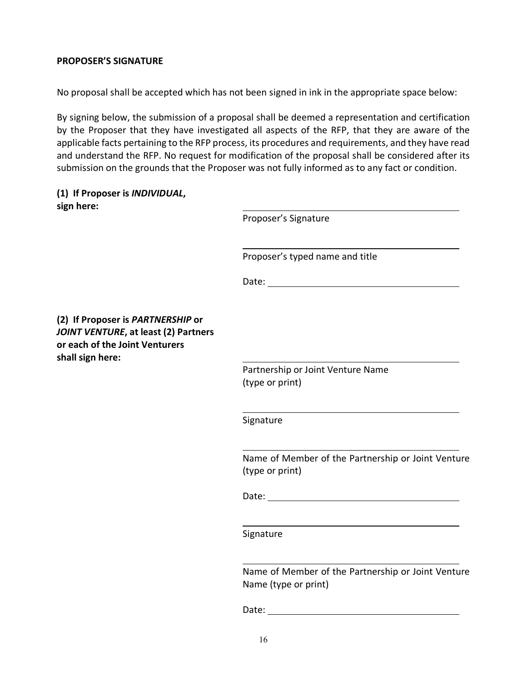#### **PROPOSER'S SIGNATURE**

No proposal shall be accepted which has not been signed in ink in the appropriate space below:

By signing below, the submission of a proposal shall be deemed a representation and certification by the Proposer that they have investigated all aspects of the RFP, that they are aware of the applicable facts pertaining to the RFP process, its procedures and requirements, and they have read and understand the RFP. No request for modification of the proposal shall be considered after its submission on the grounds that the Proposer was not fully informed as to any fact or condition.

|            | (1) If Proposer is INDIVIDUAL, |
|------------|--------------------------------|
| sign here: |                                |

|                                                                                                                                 | Proposer's Signature                                                                                                                                                                                                           |
|---------------------------------------------------------------------------------------------------------------------------------|--------------------------------------------------------------------------------------------------------------------------------------------------------------------------------------------------------------------------------|
|                                                                                                                                 | Proposer's typed name and title                                                                                                                                                                                                |
|                                                                                                                                 |                                                                                                                                                                                                                                |
| (2) If Proposer is PARTNERSHIP or<br>JOINT VENTURE, at least (2) Partners<br>or each of the Joint Venturers<br>shall sign here: |                                                                                                                                                                                                                                |
|                                                                                                                                 | Partnership or Joint Venture Name<br>(type or print)                                                                                                                                                                           |
|                                                                                                                                 | Signature                                                                                                                                                                                                                      |
|                                                                                                                                 | Name of Member of the Partnership or Joint Venture<br>(type or print)                                                                                                                                                          |
|                                                                                                                                 |                                                                                                                                                                                                                                |
|                                                                                                                                 | Signature                                                                                                                                                                                                                      |
|                                                                                                                                 | Name of Member of the Partnership or Joint Venture<br>Name (type or print)                                                                                                                                                     |
|                                                                                                                                 | Date: the contract of the contract of the contract of the contract of the contract of the contract of the contract of the contract of the contract of the contract of the contract of the contract of the contract of the cont |
|                                                                                                                                 |                                                                                                                                                                                                                                |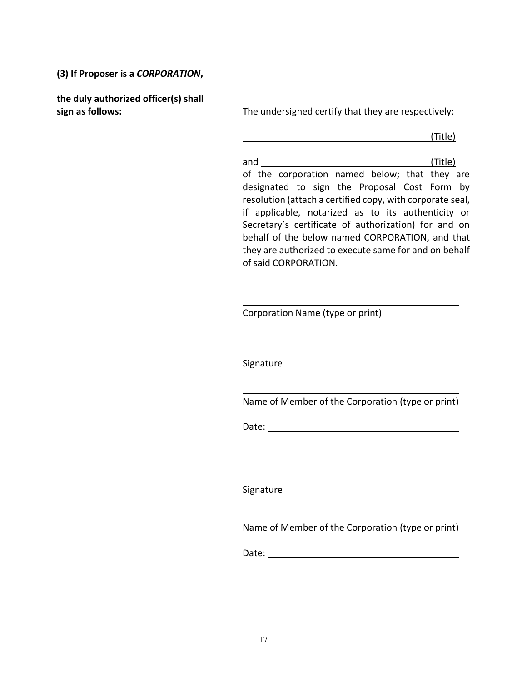**(3) If Proposer is a** *CORPORATION***,** 

**the duly authorized officer(s) shall** 

**sign as follows:** The undersigned certify that they are respectively:

(Title)

and (Title) of the corporation named below; that they are designated to sign the Proposal Cost Form by resolution (attach a certified copy, with corporate seal, if applicable, notarized as to its authenticity or Secretary's certificate of authorization) for and on behalf of the below named CORPORATION, and that they are authorized to execute same for and on behalf of said CORPORATION.

Corporation Name (type or print)

Signature

Name of Member of the Corporation (type or print)

Date:

Signature

Name of Member of the Corporation (type or print)

Date: when the contract of the contract of the contract of the contract of the contract of the contract of the contract of the contract of the contract of the contract of the contract of the contract of the contract of the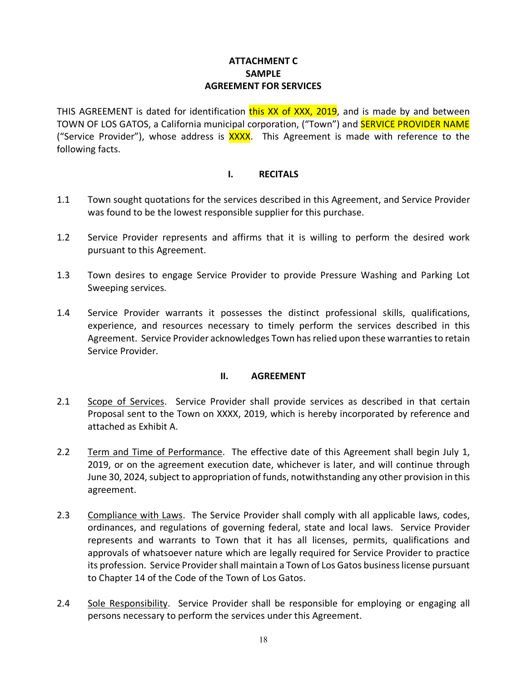#### **ATTACHMENT C SAMPLE AGREEMENT FOR SERVICES**

THIS AGREEMENT is dated for identification this XX of XXX, 2019, and is made by and between TOWN OF LOS GATOS, a California municipal corporation, ("Town") and **SERVICE PROVIDER NAME** ("Service Provider"), whose address is **XXXX**. This Agreement is made with reference to the following facts.

#### **I. RECITALS**

- 1.1 Town sought quotations for the services described in this Agreement, and Service Provider was found to be the lowest responsible supplier for this purchase.
- 1.2 Service Provider represents and affirms that it is willing to perform the desired work pursuant to this Agreement.
- 1.3 Town desires to engage Service Provider to provide Pressure Washing and Parking Lot Sweeping services.
- 1.4 Service Provider warrants it possesses the distinct professional skills, qualifications, experience, and resources necessary to timely perform the services described in this Agreement. Service Provider acknowledges Town has relied upon these warranties to retain Service Provider.

#### **II. AGREEMENT**

- 2.1 Scope of Services. Service Provider shall provide services as described in that certain Proposal sent to the Town on XXXX, 2019, which is hereby incorporated by reference and attached as Exhibit A.
- 2.2 Term and Time of Performance. The effective date of this Agreement shall begin July 1, 2019, or on the agreement execution date, whichever is later, and will continue through June 30, 2024, subject to appropriation of funds, notwithstanding any other provision in this agreement.
- 2.3 Compliance with Laws. The Service Provider shall comply with all applicable laws, codes, ordinances, and regulations of governing federal, state and local laws. Service Provider represents and warrants to Town that it has all licenses, permits, qualifications and approvals of whatsoever nature which are legally required for Service Provider to practice its profession. Service Provider shall maintain a Town of Los Gatos business license pursuant to Chapter 14 of the Code of the Town of Los Gatos.
- 2.4 Sole Responsibility. Service Provider shall be responsible for employing or engaging all persons necessary to perform the services under this Agreement.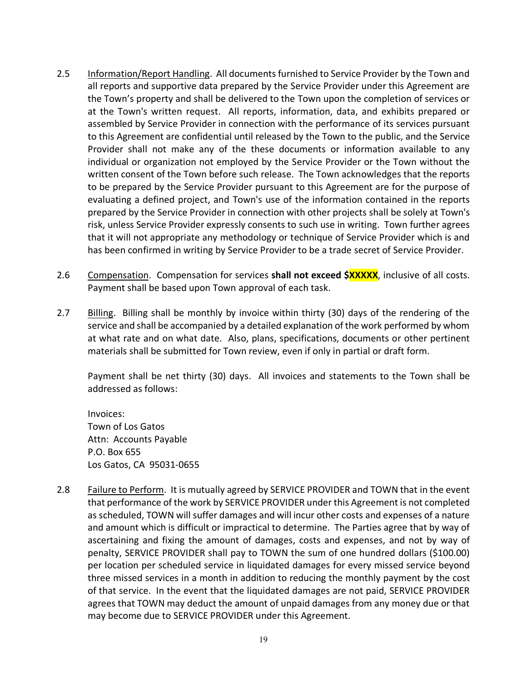- 2.5 Information/Report Handling. All documents furnished to Service Provider by the Town and all reports and supportive data prepared by the Service Provider under this Agreement are the Town's property and shall be delivered to the Town upon the completion of services or at the Town's written request. All reports, information, data, and exhibits prepared or assembled by Service Provider in connection with the performance of its services pursuant to this Agreement are confidential until released by the Town to the public, and the Service Provider shall not make any of the these documents or information available to any individual or organization not employed by the Service Provider or the Town without the written consent of the Town before such release. The Town acknowledges that the reports to be prepared by the Service Provider pursuant to this Agreement are for the purpose of evaluating a defined project, and Town's use of the information contained in the reports prepared by the Service Provider in connection with other projects shall be solely at Town's risk, unless Service Provider expressly consents to such use in writing. Town further agrees that it will not appropriate any methodology or technique of Service Provider which is and has been confirmed in writing by Service Provider to be a trade secret of Service Provider.
- 2.6 Compensation. Compensation for services **shall not exceed \$XXXXX**, inclusive of all costs. Payment shall be based upon Town approval of each task.
- 2.7 Billing. Billing shall be monthly by invoice within thirty (30) days of the rendering of the service and shall be accompanied by a detailed explanation of the work performed by whom at what rate and on what date. Also, plans, specifications, documents or other pertinent materials shall be submitted for Town review, even if only in partial or draft form.

Payment shall be net thirty (30) days. All invoices and statements to the Town shall be addressed as follows:

Invoices: Town of Los Gatos Attn: Accounts Payable P.O. Box 655 Los Gatos, CA 95031-0655

2.8 Failure to Perform. It is mutually agreed by SERVICE PROVIDER and TOWN that in the event that performance of the work by SERVICE PROVIDER under this Agreement is not completed as scheduled, TOWN will suffer damages and will incur other costs and expenses of a nature and amount which is difficult or impractical to determine. The Parties agree that by way of ascertaining and fixing the amount of damages, costs and expenses, and not by way of penalty, SERVICE PROVIDER shall pay to TOWN the sum of one hundred dollars (\$100.00) per location per scheduled service in liquidated damages for every missed service beyond three missed services in a month in addition to reducing the monthly payment by the cost of that service. In the event that the liquidated damages are not paid, SERVICE PROVIDER agrees that TOWN may deduct the amount of unpaid damages from any money due or that may become due to SERVICE PROVIDER under this Agreement.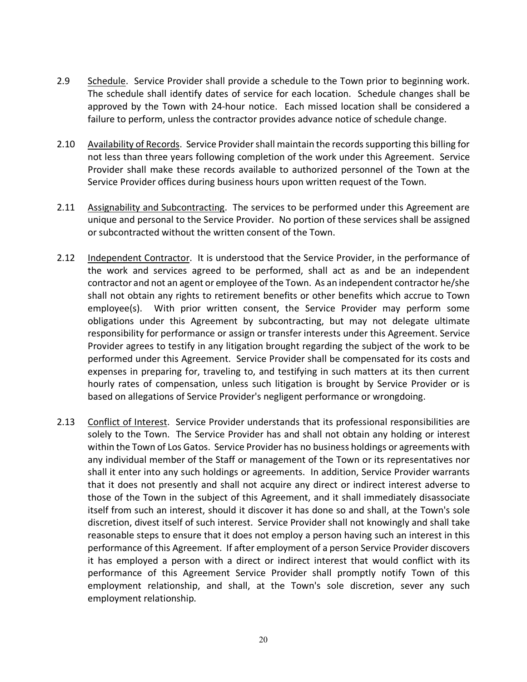- 2.9 Schedule. Service Provider shall provide a schedule to the Town prior to beginning work. The schedule shall identify dates of service for each location. Schedule changes shall be approved by the Town with 24-hour notice. Each missed location shall be considered a failure to perform, unless the contractor provides advance notice of schedule change.
- 2.10 Availability of Records. Service Provider shall maintain the records supporting this billing for not less than three years following completion of the work under this Agreement. Service Provider shall make these records available to authorized personnel of the Town at the Service Provider offices during business hours upon written request of the Town.
- 2.11 Assignability and Subcontracting. The services to be performed under this Agreement are unique and personal to the Service Provider. No portion of these services shall be assigned or subcontracted without the written consent of the Town.
- 2.12 Independent Contractor. It is understood that the Service Provider, in the performance of the work and services agreed to be performed, shall act as and be an independent contractor and not an agent or employee of the Town. As an independent contractor he/she shall not obtain any rights to retirement benefits or other benefits which accrue to Town employee(s). With prior written consent, the Service Provider may perform some obligations under this Agreement by subcontracting, but may not delegate ultimate responsibility for performance or assign or transfer interests under this Agreement. Service Provider agrees to testify in any litigation brought regarding the subject of the work to be performed under this Agreement. Service Provider shall be compensated for its costs and expenses in preparing for, traveling to, and testifying in such matters at its then current hourly rates of compensation, unless such litigation is brought by Service Provider or is based on allegations of Service Provider's negligent performance or wrongdoing.
- 2.13 Conflict of Interest. Service Provider understands that its professional responsibilities are solely to the Town. The Service Provider has and shall not obtain any holding or interest within the Town of Los Gatos. Service Provider has no business holdings or agreements with any individual member of the Staff or management of the Town or its representatives nor shall it enter into any such holdings or agreements. In addition, Service Provider warrants that it does not presently and shall not acquire any direct or indirect interest adverse to those of the Town in the subject of this Agreement, and it shall immediately disassociate itself from such an interest, should it discover it has done so and shall, at the Town's sole discretion, divest itself of such interest. Service Provider shall not knowingly and shall take reasonable steps to ensure that it does not employ a person having such an interest in this performance of this Agreement. If after employment of a person Service Provider discovers it has employed a person with a direct or indirect interest that would conflict with its performance of this Agreement Service Provider shall promptly notify Town of this employment relationship, and shall, at the Town's sole discretion, sever any such employment relationship.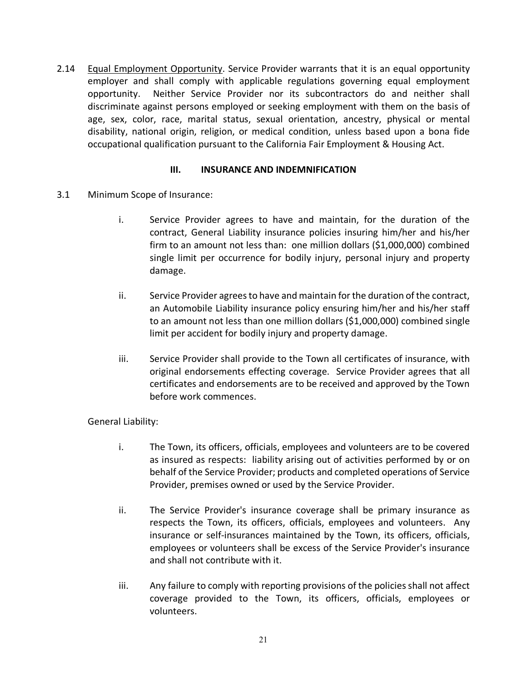2.14 Equal Employment Opportunity. Service Provider warrants that it is an equal opportunity employer and shall comply with applicable regulations governing equal employment opportunity. Neither Service Provider nor its subcontractors do and neither shall discriminate against persons employed or seeking employment with them on the basis of age, sex, color, race, marital status, sexual orientation, ancestry, physical or mental disability, national origin, religion, or medical condition, unless based upon a bona fide occupational qualification pursuant to the California Fair Employment & Housing Act.

#### **III. INSURANCE AND INDEMNIFICATION**

- 3.1 Minimum Scope of Insurance:
	- i. Service Provider agrees to have and maintain, for the duration of the contract, General Liability insurance policies insuring him/her and his/her firm to an amount not less than: one million dollars (\$1,000,000) combined single limit per occurrence for bodily injury, personal injury and property damage.
	- ii. Service Provider agrees to have and maintain for the duration of the contract, an Automobile Liability insurance policy ensuring him/her and his/her staff to an amount not less than one million dollars (\$1,000,000) combined single limit per accident for bodily injury and property damage.
	- iii. Service Provider shall provide to the Town all certificates of insurance, with original endorsements effecting coverage. Service Provider agrees that all certificates and endorsements are to be received and approved by the Town before work commences.

### General Liability:

- i. The Town, its officers, officials, employees and volunteers are to be covered as insured as respects: liability arising out of activities performed by or on behalf of the Service Provider; products and completed operations of Service Provider, premises owned or used by the Service Provider.
- ii. The Service Provider's insurance coverage shall be primary insurance as respects the Town, its officers, officials, employees and volunteers. Any insurance or self-insurances maintained by the Town, its officers, officials, employees or volunteers shall be excess of the Service Provider's insurance and shall not contribute with it.
- iii. Any failure to comply with reporting provisions of the policies shall not affect coverage provided to the Town, its officers, officials, employees or volunteers.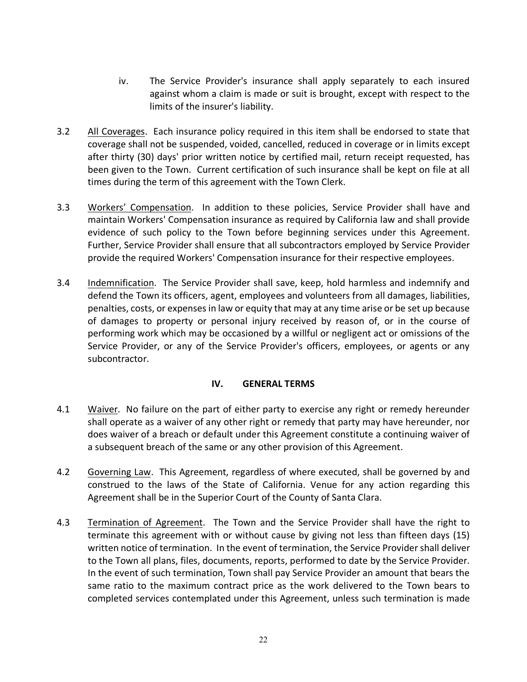- iv. The Service Provider's insurance shall apply separately to each insured against whom a claim is made or suit is brought, except with respect to the limits of the insurer's liability.
- 3.2 All Coverages. Each insurance policy required in this item shall be endorsed to state that coverage shall not be suspended, voided, cancelled, reduced in coverage or in limits except after thirty (30) days' prior written notice by certified mail, return receipt requested, has been given to the Town. Current certification of such insurance shall be kept on file at all times during the term of this agreement with the Town Clerk.
- 3.3 Workers' Compensation. In addition to these policies, Service Provider shall have and maintain Workers' Compensation insurance as required by California law and shall provide evidence of such policy to the Town before beginning services under this Agreement. Further, Service Provider shall ensure that all subcontractors employed by Service Provider provide the required Workers' Compensation insurance for their respective employees.
- 3.4 Indemnification. The Service Provider shall save, keep, hold harmless and indemnify and defend the Town its officers, agent, employees and volunteers from all damages, liabilities, penalties, costs, or expenses in law or equity that may at any time arise or be set up because of damages to property or personal injury received by reason of, or in the course of performing work which may be occasioned by a willful or negligent act or omissions of the Service Provider, or any of the Service Provider's officers, employees, or agents or any subcontractor.

### **IV. GENERAL TERMS**

- 4.1 Waiver. No failure on the part of either party to exercise any right or remedy hereunder shall operate as a waiver of any other right or remedy that party may have hereunder, nor does waiver of a breach or default under this Agreement constitute a continuing waiver of a subsequent breach of the same or any other provision of this Agreement.
- 4.2 Governing Law. This Agreement, regardless of where executed, shall be governed by and construed to the laws of the State of California. Venue for any action regarding this Agreement shall be in the Superior Court of the County of Santa Clara.
- 4.3 Termination of Agreement. The Town and the Service Provider shall have the right to terminate this agreement with or without cause by giving not less than fifteen days (15) written notice of termination. In the event of termination, the Service Provider shall deliver to the Town all plans, files, documents, reports, performed to date by the Service Provider. In the event of such termination, Town shall pay Service Provider an amount that bears the same ratio to the maximum contract price as the work delivered to the Town bears to completed services contemplated under this Agreement, unless such termination is made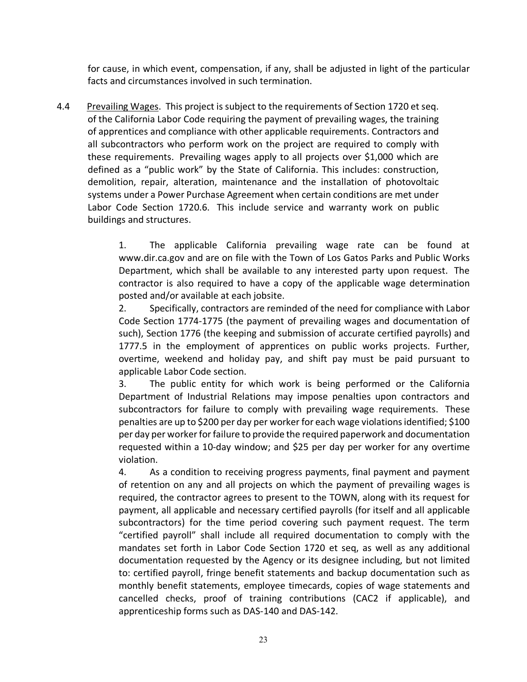for cause, in which event, compensation, if any, shall be adjusted in light of the particular facts and circumstances involved in such termination.

4.4 Prevailing Wages. This project is subject to the requirements of Section 1720 et seq. of the California Labor Code requiring the payment of prevailing wages, the training of apprentices and compliance with other applicable requirements. Contractors and all subcontractors who perform work on the project are required to comply with these requirements. Prevailing wages apply to all projects over \$1,000 which are defined as a "public work" by the State of California. This includes: construction, demolition, repair, alteration, maintenance and the installation of photovoltaic systems under a Power Purchase Agreement when certain conditions are met under Labor Code Section 1720.6. This include service and warranty work on public buildings and structures.

> 1. The applicable California prevailing wage rate can be found at www.dir.ca.gov and are on file with the Town of Los Gatos Parks and Public Works Department, which shall be available to any interested party upon request. The contractor is also required to have a copy of the applicable wage determination posted and/or available at each jobsite.

> 2. Specifically, contractors are reminded of the need for compliance with Labor Code Section 1774-1775 (the payment of prevailing wages and documentation of such), Section 1776 (the keeping and submission of accurate certified payrolls) and 1777.5 in the employment of apprentices on public works projects. Further, overtime, weekend and holiday pay, and shift pay must be paid pursuant to applicable Labor Code section.

> 3. The public entity for which work is being performed or the California Department of Industrial Relations may impose penalties upon contractors and subcontractors for failure to comply with prevailing wage requirements. These penalties are up to \$200 per day per worker for each wage violations identified; \$100 per day per worker for failure to provide the required paperwork and documentation requested within a 10-day window; and \$25 per day per worker for any overtime violation.

> 4. As a condition to receiving progress payments, final payment and payment of retention on any and all projects on which the payment of prevailing wages is required, the contractor agrees to present to the TOWN, along with its request for payment, all applicable and necessary certified payrolls (for itself and all applicable subcontractors) for the time period covering such payment request. The term "certified payroll" shall include all required documentation to comply with the mandates set forth in Labor Code Section 1720 et seq, as well as any additional documentation requested by the Agency or its designee including, but not limited to: certified payroll, fringe benefit statements and backup documentation such as monthly benefit statements, employee timecards, copies of wage statements and cancelled checks, proof of training contributions (CAC2 if applicable), and apprenticeship forms such as DAS-140 and DAS-142.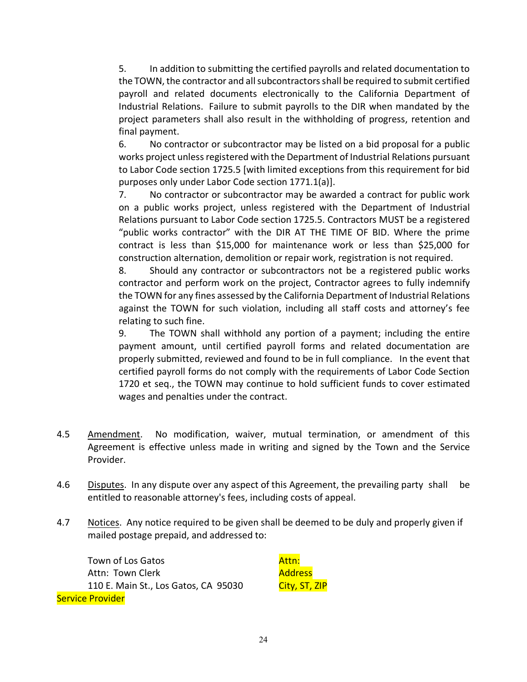5. In addition to submitting the certified payrolls and related documentation to the TOWN, the contractor and all subcontractors shall be required to submit certified payroll and related documents electronically to the California Department of Industrial Relations. Failure to submit payrolls to the DIR when mandated by the project parameters shall also result in the withholding of progress, retention and final payment.

6. No contractor or subcontractor may be listed on a bid proposal for a public works project unless registered with the Department of Industrial Relations pursuant to Labor Code section 1725.5 [with limited exceptions from this requirement for bid purposes only under Labor Code section 1771.1(a)].

7. No contractor or subcontractor may be awarded a contract for public work on a public works project, unless registered with the Department of Industrial Relations pursuant to Labor Code section 1725.5. Contractors MUST be a registered "public works contractor" with the DIR AT THE TIME OF BID. Where the prime contract is less than \$15,000 for maintenance work or less than \$25,000 for construction alternation, demolition or repair work, registration is not required.

8. Should any contractor or subcontractors not be a registered public works contractor and perform work on the project, Contractor agrees to fully indemnify the TOWN for any fines assessed by the California Department of Industrial Relations against the TOWN for such violation, including all staff costs and attorney's fee relating to such fine.

9. The TOWN shall withhold any portion of a payment; including the entire payment amount, until certified payroll forms and related documentation are properly submitted, reviewed and found to be in full compliance. In the event that certified payroll forms do not comply with the requirements of Labor Code Section 1720 et seq., the TOWN may continue to hold sufficient funds to cover estimated wages and penalties under the contract.

- 4.5 Amendment. No modification, waiver, mutual termination, or amendment of this Agreement is effective unless made in writing and signed by the Town and the Service Provider.
- 4.6 Disputes. In any dispute over any aspect of this Agreement, the prevailing party shall be entitled to reasonable attorney's fees, including costs of appeal.
- 4.7 Notices. Any notice required to be given shall be deemed to be duly and properly given if mailed postage prepaid, and addressed to:

Town of Los Gatos Attn: Town Clerk 110 E. Main St., Los Gatos, CA 95030 Service Provider

Attn: Address City, ST, ZIP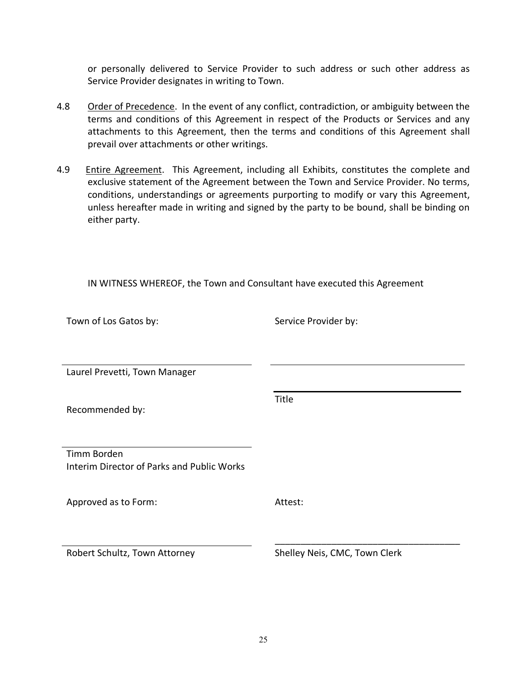or personally delivered to Service Provider to such address or such other address as Service Provider designates in writing to Town.

- 4.8 Order of Precedence. In the event of any conflict, contradiction, or ambiguity between the terms and conditions of this Agreement in respect of the Products or Services and any attachments to this Agreement, then the terms and conditions of this Agreement shall prevail over attachments or other writings.
- 4.9 Entire Agreement. This Agreement, including all Exhibits, constitutes the complete and exclusive statement of the Agreement between the Town and Service Provider. No terms, conditions, understandings or agreements purporting to modify or vary this Agreement, unless hereafter made in writing and signed by the party to be bound, shall be binding on either party.

IN WITNESS WHEREOF, the Town and Consultant have executed this Agreement

| Town of Los Gatos by:                             | Service Provider by:          |
|---------------------------------------------------|-------------------------------|
|                                                   |                               |
|                                                   |                               |
| Laurel Prevetti, Town Manager                     |                               |
|                                                   |                               |
| Recommended by:                                   | Title                         |
|                                                   |                               |
|                                                   |                               |
| Timm Borden                                       |                               |
| <b>Interim Director of Parks and Public Works</b> |                               |
|                                                   |                               |
| Approved as to Form:                              | Attest:                       |
|                                                   |                               |
|                                                   |                               |
| Robert Schultz, Town Attorney                     | Shelley Neis, CMC, Town Clerk |
|                                                   |                               |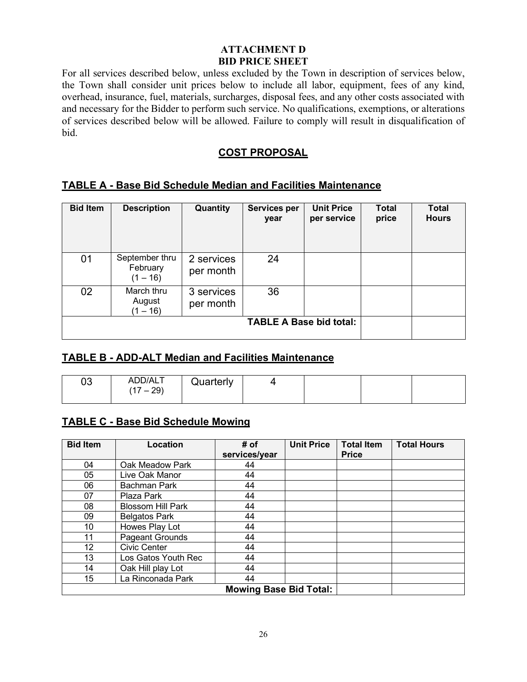### **ATTACHMENT D BID PRICE SHEET**

For all services described below, unless excluded by the Town in description of services below, the Town shall consider unit prices below to include all labor, equipment, fees of any kind, overhead, insurance, fuel, materials, surcharges, disposal fees, and any other costs associated with and necessary for the Bidder to perform such service. No qualifications, exemptions, or alterations of services described below will be allowed. Failure to comply will result in disqualification of bid.

### **COST PROPOSAL**

### **TABLE A - Base Bid Schedule Median and Facilities Maintenance**

| <b>Bid Item</b> | <b>Description</b>                       | Quantity                | <b>Services per</b><br>year    | <b>Unit Price</b><br>per service | <b>Total</b><br>price | <b>Total</b><br><b>Hours</b> |
|-----------------|------------------------------------------|-------------------------|--------------------------------|----------------------------------|-----------------------|------------------------------|
| 01              | September thru<br>February<br>$(1 - 16)$ | 2 services<br>per month | 24                             |                                  |                       |                              |
| 02              | March thru<br>August<br>$(1 - 16)$       | 3 services<br>per month | 36                             |                                  |                       |                              |
|                 |                                          |                         | <b>TABLE A Base bid total:</b> |                                  |                       |                              |

### **TABLE B - ADD-ALT Median and Facilities Maintenance**

| n n<br>υu | ADD/ALT<br>29<br>$\rightarrow$<br>-- | Quarterly |  |  |
|-----------|--------------------------------------|-----------|--|--|
|           |                                      |           |  |  |

# **TABLE C - Base Bid Schedule Mowing**

| <b>Bid Item</b> | Location                      | # of          | <b>Unit Price</b> | <b>Total Item</b> | <b>Total Hours</b> |  |
|-----------------|-------------------------------|---------------|-------------------|-------------------|--------------------|--|
|                 |                               | services/year |                   | <b>Price</b>      |                    |  |
| 04              | Oak Meadow Park               | 44            |                   |                   |                    |  |
| 05              | Live Oak Manor                | 44            |                   |                   |                    |  |
| 06              | <b>Bachman Park</b>           | 44            |                   |                   |                    |  |
| 07              | Plaza Park                    | 44            |                   |                   |                    |  |
| 08              | <b>Blossom Hill Park</b>      | 44            |                   |                   |                    |  |
| 09              | <b>Belgatos Park</b>          | 44            |                   |                   |                    |  |
| 10              | Howes Play Lot                | 44            |                   |                   |                    |  |
| 11              | Pageant Grounds               | 44            |                   |                   |                    |  |
| 12              | <b>Civic Center</b>           | 44            |                   |                   |                    |  |
| 13              | Los Gatos Youth Rec           | 44            |                   |                   |                    |  |
| 14              | Oak Hill play Lot             | 44            |                   |                   |                    |  |
| 15              | La Rinconada Park             | 44            |                   |                   |                    |  |
|                 | <b>Mowing Base Bid Total:</b> |               |                   |                   |                    |  |